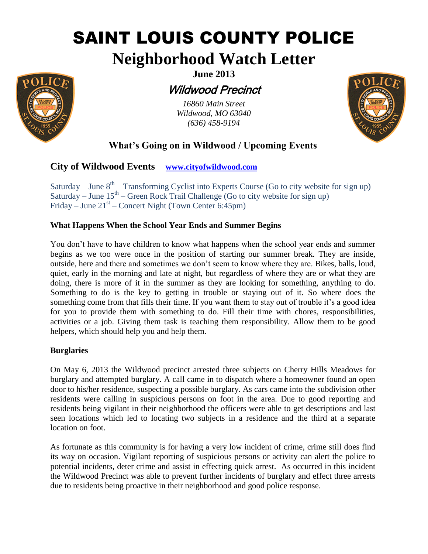# SAINT LOUIS COUNTY POLICE

## **Neighborhood Watch Letter**



**June 2013**

## Wildwood Precinct

*16860 Main Street Wildwood, MO 63040 (636) 458-9194*



### **What's Going on in Wildwood / Upcoming Events**

#### **City of Wildwood Events [www.cityofwildwood.com](http://www.cityofwildwood.com/)**

Saturday – June  $8<sup>th</sup>$  – Transforming Cyclist into Experts Course (Go to city website for sign up) Saturday – June  $15<sup>th</sup>$  – Green Rock Trail Challenge (Go to city website for sign up) Friday – June  $21<sup>st</sup>$  – Concert Night (Town Center 6:45pm)

#### **What Happens When the School Year Ends and Summer Begins**

You don't have to have children to know what happens when the school year ends and summer begins as we too were once in the position of starting our summer break. They are inside, outside, here and there and sometimes we don't seem to know where they are. Bikes, balls, loud, quiet, early in the morning and late at night, but regardless of where they are or what they are doing, there is more of it in the summer as they are looking for something, anything to do. Something to do is the key to getting in trouble or staying out of it. So where does the something come from that fills their time. If you want them to stay out of trouble it's a good idea for you to provide them with something to do. Fill their time with chores, responsibilities, activities or a job. Giving them task is teaching them responsibility. Allow them to be good helpers, which should help you and help them.

#### **Burglaries**

On May 6, 2013 the Wildwood precinct arrested three subjects on Cherry Hills Meadows for burglary and attempted burglary. A call came in to dispatch where a homeowner found an open door to his/her residence, suspecting a possible burglary. As cars came into the subdivision other residents were calling in suspicious persons on foot in the area. Due to good reporting and residents being vigilant in their neighborhood the officers were able to get descriptions and last seen locations which led to locating two subjects in a residence and the third at a separate location on foot.

As fortunate as this community is for having a very low incident of crime, crime still does find its way on occasion. Vigilant reporting of suspicious persons or activity can alert the police to potential incidents, deter crime and assist in effecting quick arrest. As occurred in this incident the Wildwood Precinct was able to prevent further incidents of burglary and effect three arrests due to residents being proactive in their neighborhood and good police response.